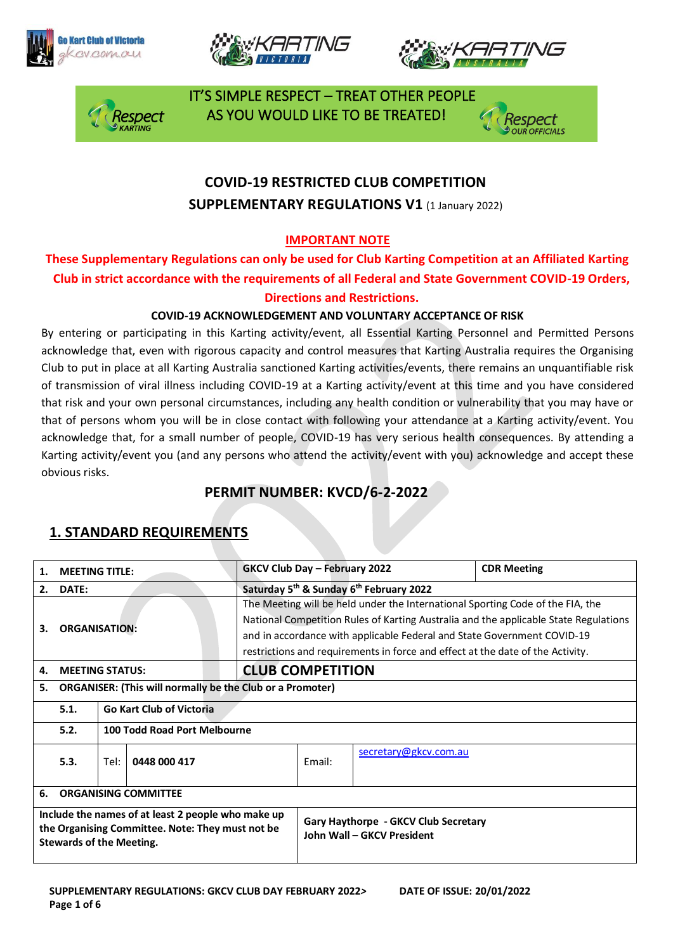







 IT'S SIMPLE RESPECT – TREAT OTHER PEOPLE espect \_\_\_\_\_\_ AS YOU WOULD LIKE TO BE TREATED!

## **COVID-19 RESTRICTED CLUB COMPETITION SUPPLEMENTARY REGULATIONS V1 (1 January 2022)**

#### **IMPORTANT NOTE**

**These Supplementary Regulations can only be used for Club Karting Competition at an Affiliated Karting Club in strict accordance with the requirements of all Federal and State Government COVID-19 Orders, Directions and Restrictions.** 

#### **COVID-19 ACKNOWLEDGEMENT AND VOLUNTARY ACCEPTANCE OF RISK**

By entering or participating in this Karting activity/event, all Essential Karting Personnel and Permitted Persons acknowledge that, even with rigorous capacity and control measures that Karting Australia requires the Organising Club to put in place at all Karting Australia sanctioned Karting activities/events, there remains an unquantifiable risk of transmission of viral illness including COVID-19 at a Karting activity/event at this time and you have considered that risk and your own personal circumstances, including any health condition or vulnerability that you may have or that of persons whom you will be in close contact with following your attendance at a Karting activity/event. You acknowledge that, for a small number of people, COVID-19 has very serious health consequences. By attending a Karting activity/event you (and any persons who attend the activity/event with you) acknowledge and accept these obvious risks.

#### **PERMIT NUMBER: KVCD/6-2-2022**

#### **1. MEETING TITLE: GKCV Club Day – February 2022 CDR Meeting 2. DATE: Saturday 5th & Sunday 6th February 2022 3. ORGANISATION:** The Meeting will be held under the International Sporting Code of the FIA, the National Competition Rules of Karting Australia and the applicable State Regulations and in accordance with applicable Federal and State Government COVID-19 restrictions and requirements in force and effect at the date of the Activity. **4. MEETING STATUS: CLUB COMPETITION 5. ORGANISER: (This will normally be the Club or a Promoter) 5.1. Go Kart Club of Victoria 5.2. 100 Todd Road Port Melbourne 5.3.** Tel: **0448 000 417** Email: [secretary@gkcv.com.au](mailto:secretary@gkcv.com.au) **6. ORGANISING COMMITTEE Include the names of at least 2 people who make up the Organising Committee. Note: They must not be Stewards of the Meeting. Gary Haythorpe - GKCV Club Secretary John Wall – GKCV President**

## **1. STANDARD REQUIREMENTS**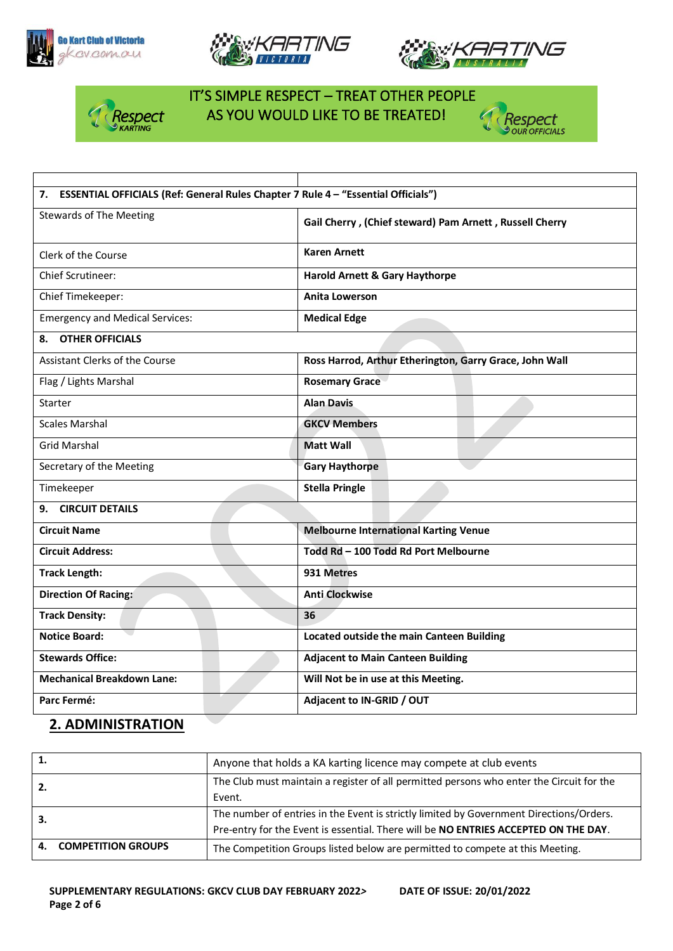





C

Respect



# IT'S SIMPLE RESPECT – TREAT OTHER PEOPLE AS YOU WOULD LIKE TO BE TREATED!

| 7. ESSENTIAL OFFICIALS (Ref: General Rules Chapter 7 Rule 4 - "Essential Officials") |                                                         |  |  |  |
|--------------------------------------------------------------------------------------|---------------------------------------------------------|--|--|--|
| <b>Stewards of The Meeting</b>                                                       | Gail Cherry, (Chief steward) Pam Arnett, Russell Cherry |  |  |  |
| Clerk of the Course                                                                  | <b>Karen Arnett</b>                                     |  |  |  |
| Chief Scrutineer:                                                                    | <b>Harold Arnett &amp; Gary Haythorpe</b>               |  |  |  |
| Chief Timekeeper:                                                                    | <b>Anita Lowerson</b>                                   |  |  |  |
| <b>Emergency and Medical Services:</b>                                               | <b>Medical Edge</b>                                     |  |  |  |
| <b>OTHER OFFICIALS</b><br>8.                                                         |                                                         |  |  |  |
| <b>Assistant Clerks of the Course</b>                                                | Ross Harrod, Arthur Etherington, Garry Grace, John Wall |  |  |  |
| Flag / Lights Marshal                                                                | <b>Rosemary Grace</b>                                   |  |  |  |
| Starter                                                                              | <b>Alan Davis</b>                                       |  |  |  |
| <b>Scales Marshal</b>                                                                | <b>GKCV Members</b>                                     |  |  |  |
| <b>Grid Marshal</b>                                                                  | <b>Matt Wall</b>                                        |  |  |  |
| Secretary of the Meeting                                                             | <b>Gary Haythorpe</b>                                   |  |  |  |
| Timekeeper                                                                           | <b>Stella Pringle</b>                                   |  |  |  |
| <b>CIRCUIT DETAILS</b><br>9.                                                         |                                                         |  |  |  |
| <b>Circuit Name</b>                                                                  | <b>Melbourne International Karting Venue</b>            |  |  |  |
| <b>Circuit Address:</b>                                                              | Todd Rd - 100 Todd Rd Port Melbourne                    |  |  |  |
| <b>Track Length:</b>                                                                 | 931 Metres                                              |  |  |  |
| <b>Direction Of Racing:</b>                                                          | <b>Anti Clockwise</b>                                   |  |  |  |
| <b>Track Density:</b>                                                                | 36                                                      |  |  |  |
| <b>Notice Board:</b>                                                                 | Located outside the main Canteen Building               |  |  |  |
| <b>Stewards Office:</b>                                                              | <b>Adjacent to Main Canteen Building</b>                |  |  |  |
| <b>Mechanical Breakdown Lane:</b>                                                    | Will Not be in use at this Meeting.                     |  |  |  |
| Parc Fermé:                                                                          | Adjacent to IN-GRID / OUT                               |  |  |  |

### **2. ADMINISTRATION**

| 1. |                           | Anyone that holds a KA karting licence may compete at club events                                                                                                              |
|----|---------------------------|--------------------------------------------------------------------------------------------------------------------------------------------------------------------------------|
|    |                           | The Club must maintain a register of all permitted persons who enter the Circuit for the<br>Event.                                                                             |
|    |                           | The number of entries in the Event is strictly limited by Government Directions/Orders.<br>Pre-entry for the Event is essential. There will be NO ENTRIES ACCEPTED ON THE DAY. |
| 4. | <b>COMPETITION GROUPS</b> | The Competition Groups listed below are permitted to compete at this Meeting.                                                                                                  |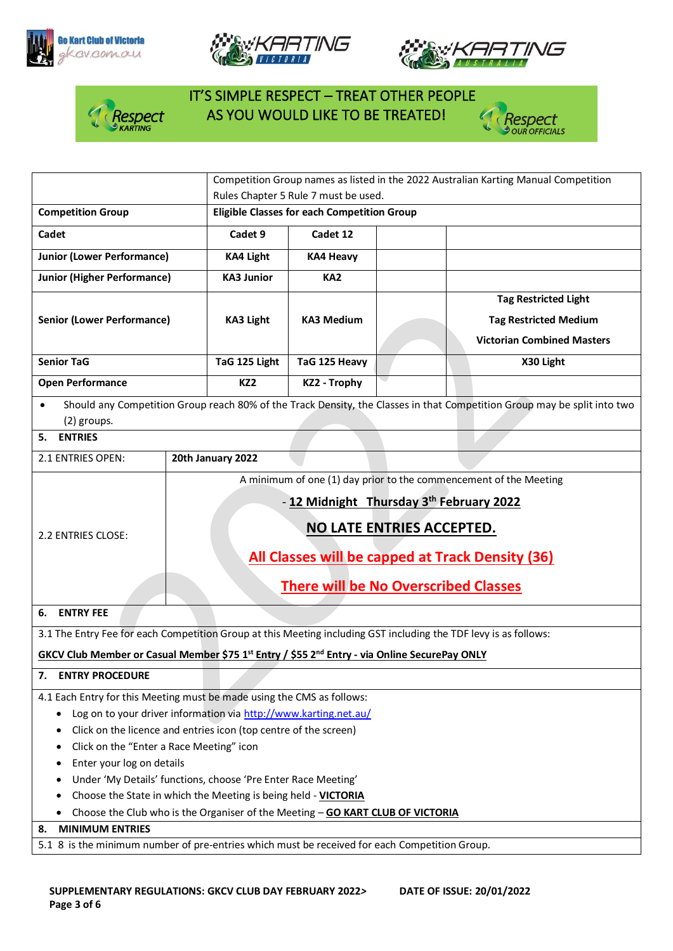







## IT'S SIMPLE RESPECT – TREAT OTHER PEOPLE AS YOU WOULD LIKE TO BE TREATED!

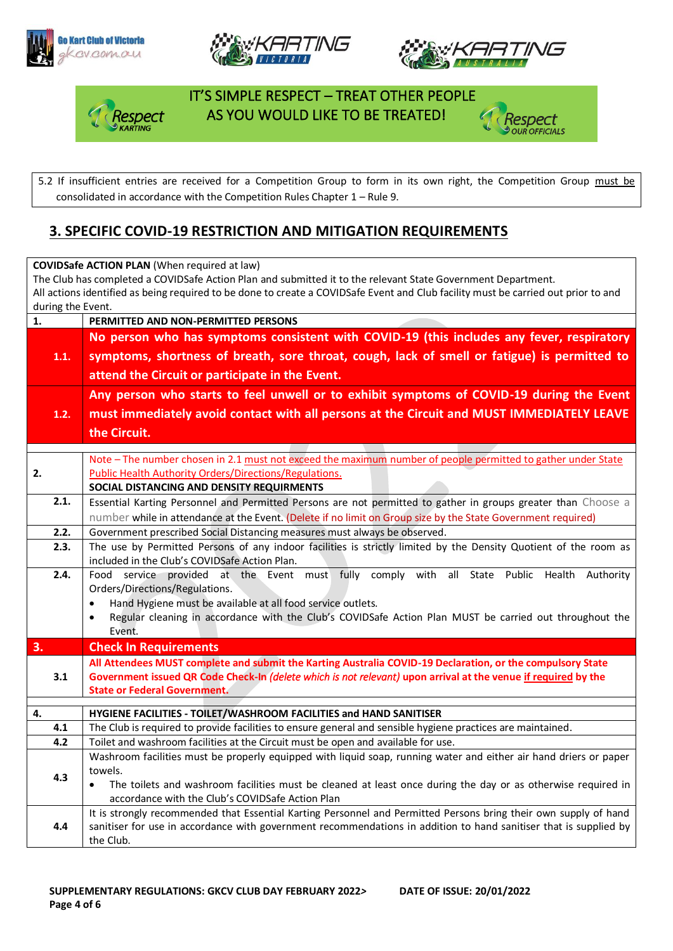







#### IT'S SIMPLE RESPECT – TREAT OTHER PEOPLE AS YOU WOULD LIKE TO BE TREATED!



5.2 If insufficient entries are received for a Competition Group to form in its own right, the Competition Group must be consolidated in accordance with the Competition Rules Chapter 1 – Rule 9.

### **3. SPECIFIC COVID-19 RESTRICTION AND MITIGATION REQUIREMENTS**

**COVIDSafe ACTION PLAN** (When required at law) The Club has completed a COVIDSafe Action Plan and submitted it to the relevant State Government Department. All actions identified as being required to be done to create a COVIDSafe Event and Club facility must be carried out prior to and during the Event. **1. PERMITTED AND NON-PERMITTED PERSONS 1.1. No person who has symptoms consistent with COVID-19 (this includes any fever, respiratory symptoms, shortness of breath, sore throat, cough, lack of smell or fatigue) is permitted to attend the Circuit or participate in the Event. 1.2. Any person who starts to feel unwell or to exhibit symptoms of COVID-19 during the Event must immediately avoid contact with all persons at the Circuit and MUST IMMEDIATELY LEAVE the Circuit. 2.** Note – The number chosen in 2.1 must not exceed the maximum number of people permitted to gather under State Public Health Authority Orders/Directions/Regulations. **SOCIAL DISTANCING AND DENSITY REQUIRMENTS 2.1.** Essential Karting Personnel and Permitted Persons are not permitted to gather in groups greater than Choose a number while in attendance at the Event. (Delete if no limit on Group size by the State Government required) **2.2.** Government prescribed Social Distancing measures must always be observed. **2.3.** The use by Permitted Persons of any indoor facilities is strictly limited by the Density Quotient of the room as included in the Club's COVIDSafe Action Plan. **2.4.** Food service provided at the Event must fully comply with all State Public Health Authority Orders/Directions/Regulations. • Hand Hygiene must be available at all food service outlets. • Regular cleaning in accordance with the Club's COVIDSafe Action Plan MUST be carried out throughout the Event. **3. Check In Requirements 3.1 All Attendees MUST complete and submit the Karting Australia COVID-19 Declaration, or the compulsory State Government issued QR Code Check-In** *(delete which is not relevant)* **upon arrival at the venue if required by the State or Federal Government. 4. HYGIENE FACILITIES - TOILET/WASHROOM FACILITIES and HAND SANITISER 4.1** The Club is required to provide facilities to ensure general and sensible hygiene practices are maintained. **4.2** Toilet and washroom facilities at the Circuit must be open and available for use. **4.3** Washroom facilities must be properly equipped with liquid soap, running water and either air hand driers or paper towels. • The toilets and washroom facilities must be cleaned at least once during the day or as otherwise required in accordance with the Club's COVIDSafe Action Plan **4.4** It is strongly recommended that Essential Karting Personnel and Permitted Persons bring their own supply of hand sanitiser for use in accordance with government recommendations in addition to hand sanitiser that is supplied by the Club.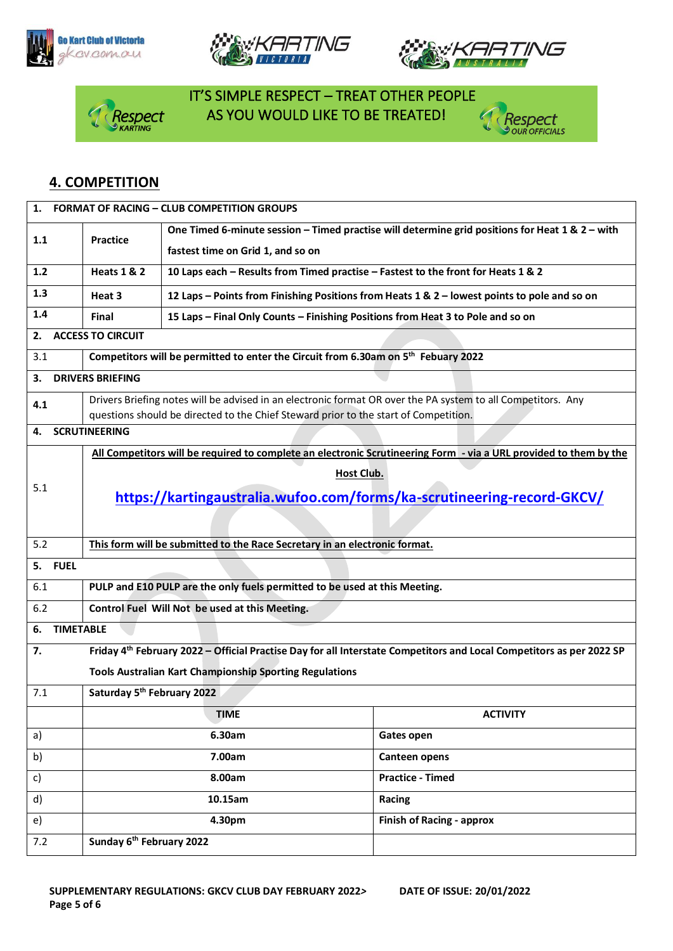







# IT'S SIMPLE RESPECT – TREAT OTHER PEOPLE RESPECT AS YOU WOULD LIKE TO BE TREATED!



#### **4. COMPETITION**

| 1.                                                                                                                 |                                                                                                              | <b>FORMAT OF RACING - CLUB COMPETITION GROUPS</b>                                            |                                                                                                                                  |  |  |
|--------------------------------------------------------------------------------------------------------------------|--------------------------------------------------------------------------------------------------------------|----------------------------------------------------------------------------------------------|----------------------------------------------------------------------------------------------------------------------------------|--|--|
|                                                                                                                    |                                                                                                              |                                                                                              | One Timed 6-minute session - Timed practise will determine grid positions for Heat 1 & 2 - with                                  |  |  |
| 1.1                                                                                                                | <b>Practice</b>                                                                                              | fastest time on Grid 1, and so on                                                            |                                                                                                                                  |  |  |
| <b>Heats 1 &amp; 2</b><br>10 Laps each - Results from Timed practise - Fastest to the front for Heats 1 & 2<br>1.2 |                                                                                                              |                                                                                              |                                                                                                                                  |  |  |
| 1.3                                                                                                                | Heat 3                                                                                                       | 12 Laps - Points from Finishing Positions from Heats 1 & 2 - lowest points to pole and so on |                                                                                                                                  |  |  |
| 1.4                                                                                                                | Final                                                                                                        | 15 Laps - Final Only Counts - Finishing Positions from Heat 3 to Pole and so on              |                                                                                                                                  |  |  |
| 2.                                                                                                                 | <b>ACCESS TO CIRCUIT</b>                                                                                     |                                                                                              |                                                                                                                                  |  |  |
| 3.1                                                                                                                | Competitors will be permitted to enter the Circuit from 6.30am on 5 <sup>th</sup> Febuary 2022               |                                                                                              |                                                                                                                                  |  |  |
| З.                                                                                                                 | <b>DRIVERS BRIEFING</b>                                                                                      |                                                                                              |                                                                                                                                  |  |  |
| 4.1                                                                                                                | Drivers Briefing notes will be advised in an electronic format OR over the PA system to all Competitors. Any |                                                                                              |                                                                                                                                  |  |  |
|                                                                                                                    | questions should be directed to the Chief Steward prior to the start of Competition.                         |                                                                                              |                                                                                                                                  |  |  |
| 4.                                                                                                                 | <b>SCRUTINEERING</b>                                                                                         |                                                                                              |                                                                                                                                  |  |  |
|                                                                                                                    |                                                                                                              |                                                                                              | All Competitors will be required to complete an electronic Scrutineering Form - via a URL provided to them by the                |  |  |
|                                                                                                                    |                                                                                                              | <b>Host Club.</b>                                                                            |                                                                                                                                  |  |  |
| 5.1                                                                                                                | https://kartingaustralia.wufoo.com/forms/ka-scrutineering-record-GKCV/                                       |                                                                                              |                                                                                                                                  |  |  |
|                                                                                                                    |                                                                                                              |                                                                                              |                                                                                                                                  |  |  |
|                                                                                                                    |                                                                                                              |                                                                                              |                                                                                                                                  |  |  |
| 5.2                                                                                                                | This form will be submitted to the Race Secretary in an electronic format.                                   |                                                                                              |                                                                                                                                  |  |  |
| <b>FUEL</b><br>5.                                                                                                  |                                                                                                              |                                                                                              |                                                                                                                                  |  |  |
| 6.1                                                                                                                |                                                                                                              | PULP and E10 PULP are the only fuels permitted to be used at this Meeting.                   |                                                                                                                                  |  |  |
| 6.2                                                                                                                |                                                                                                              | Control Fuel Will Not be used at this Meeting.                                               |                                                                                                                                  |  |  |
| <b>TIMETABLE</b><br>6.                                                                                             |                                                                                                              |                                                                                              |                                                                                                                                  |  |  |
| 7.                                                                                                                 |                                                                                                              |                                                                                              | Friday 4 <sup>th</sup> February 2022 - Official Practise Day for all Interstate Competitors and Local Competitors as per 2022 SP |  |  |
|                                                                                                                    |                                                                                                              | <b>Tools Australian Kart Championship Sporting Regulations</b>                               |                                                                                                                                  |  |  |
| 7.1                                                                                                                | Saturday 5 <sup>th</sup> February 2022                                                                       |                                                                                              |                                                                                                                                  |  |  |
|                                                                                                                    |                                                                                                              | <b>TIME</b>                                                                                  | <b>ACTIVITY</b>                                                                                                                  |  |  |
| a)                                                                                                                 |                                                                                                              | 6.30am                                                                                       | Gates open                                                                                                                       |  |  |
| b)                                                                                                                 |                                                                                                              | 7.00am                                                                                       | Canteen opens                                                                                                                    |  |  |
| c)                                                                                                                 |                                                                                                              | 8.00am                                                                                       | <b>Practice - Timed</b>                                                                                                          |  |  |
| d)                                                                                                                 |                                                                                                              | 10.15am                                                                                      | Racing                                                                                                                           |  |  |
| e)                                                                                                                 |                                                                                                              | 4.30pm                                                                                       | <b>Finish of Racing - approx</b>                                                                                                 |  |  |
| 7.2                                                                                                                | Sunday 6 <sup>th</sup> February 2022                                                                         |                                                                                              |                                                                                                                                  |  |  |